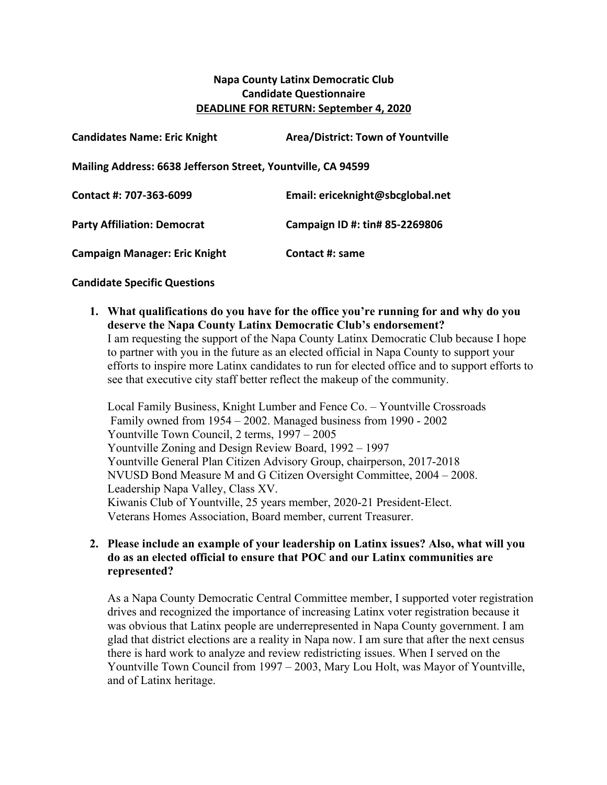## **Napa County Latinx Democratic Club Candidate Questionnaire DEADLINE FOR RETURN: September 4, 2020**

| <b>Candidates Name: Eric Knight</b>                          | <b>Area/District: Town of Yountville</b> |
|--------------------------------------------------------------|------------------------------------------|
| Mailing Address: 6638 Jefferson Street, Yountville, CA 94599 |                                          |
| Contact #: 707-363-6099                                      | Email: ericeknight@sbcglobal.net         |
| <b>Party Affiliation: Democrat</b>                           | Campaign ID #: tin# 85-2269806           |
| <b>Campaign Manager: Eric Knight</b>                         | Contact #: same                          |

#### **Candidate Specific Questions**

**1. What qualifications do you have for the office you're running for and why do you deserve the Napa County Latinx Democratic Club's endorsement?** I am requesting the support of the Napa County Latinx Democratic Club because I hope to partner with you in the future as an elected official in Napa County to support your efforts to inspire more Latinx candidates to run for elected office and to support efforts to see that executive city staff better reflect the makeup of the community.

Local Family Business, Knight Lumber and Fence Co. – Yountville Crossroads Family owned from 1954 – 2002. Managed business from 1990 - 2002 Yountville Town Council, 2 terms, 1997 – 2005 Yountville Zoning and Design Review Board, 1992 – 1997 Yountville General Plan Citizen Advisory Group, chairperson, 2017-2018 NVUSD Bond Measure M and G Citizen Oversight Committee, 2004 – 2008. Leadership Napa Valley, Class XV. Kiwanis Club of Yountville, 25 years member, 2020-21 President-Elect. Veterans Homes Association, Board member, current Treasurer.

#### **2. Please include an example of your leadership on Latinx issues? Also, what will you do as an elected official to ensure that POC and our Latinx communities are represented?**

As a Napa County Democratic Central Committee member, I supported voter registration drives and recognized the importance of increasing Latinx voter registration because it was obvious that Latinx people are underrepresented in Napa County government. I am glad that district elections are a reality in Napa now. I am sure that after the next census there is hard work to analyze and review redistricting issues. When I served on the Yountville Town Council from 1997 – 2003, Mary Lou Holt, was Mayor of Yountville, and of Latinx heritage.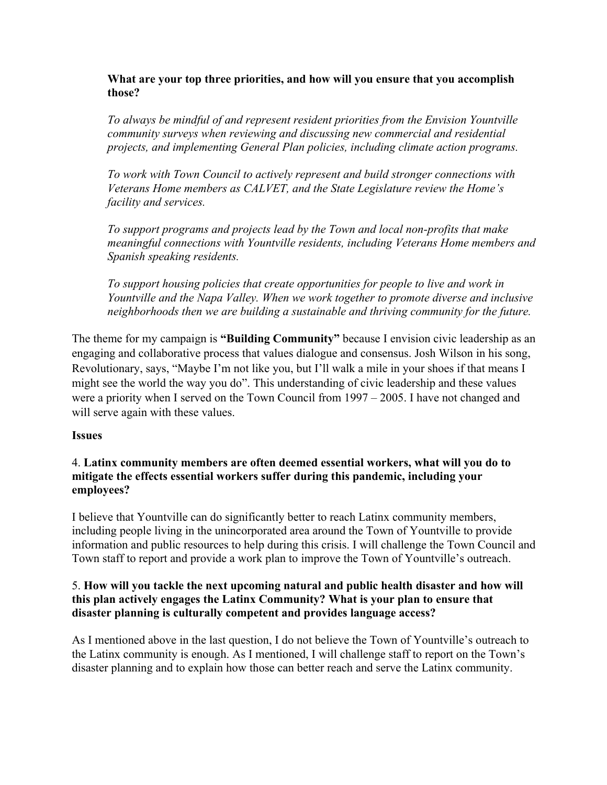#### **What are your top three priorities, and how will you ensure that you accomplish those?**

*To always be mindful of and represent resident priorities from the Envision Yountville community surveys when reviewing and discussing new commercial and residential projects, and implementing General Plan policies, including climate action programs.*

*To work with Town Council to actively represent and build stronger connections with Veterans Home members as CALVET, and the State Legislature review the Home's facility and services.*

*To support programs and projects lead by the Town and local non-profits that make meaningful connections with Yountville residents, including Veterans Home members and Spanish speaking residents.*

*To support housing policies that create opportunities for people to live and work in Yountville and the Napa Valley. When we work together to promote diverse and inclusive neighborhoods then we are building a sustainable and thriving community for the future.*

The theme for my campaign is **"Building Community"** because I envision civic leadership as an engaging and collaborative process that values dialogue and consensus. Josh Wilson in his song, Revolutionary, says, "Maybe I'm not like you, but I'll walk a mile in your shoes if that means I might see the world the way you do". This understanding of civic leadership and these values were a priority when I served on the Town Council from 1997 – 2005. I have not changed and will serve again with these values.

### **Issues**

#### 4. **Latinx community members are often deemed essential workers, what will you do to mitigate the effects essential workers suffer during this pandemic, including your employees?**

I believe that Yountville can do significantly better to reach Latinx community members, including people living in the unincorporated area around the Town of Yountville to provide information and public resources to help during this crisis. I will challenge the Town Council and Town staff to report and provide a work plan to improve the Town of Yountville's outreach.

#### 5. **How will you tackle the next upcoming natural and public health disaster and how will this plan actively engages the Latinx Community? What is your plan to ensure that disaster planning is culturally competent and provides language access?**

As I mentioned above in the last question, I do not believe the Town of Yountville's outreach to the Latinx community is enough. As I mentioned, I will challenge staff to report on the Town's disaster planning and to explain how those can better reach and serve the Latinx community.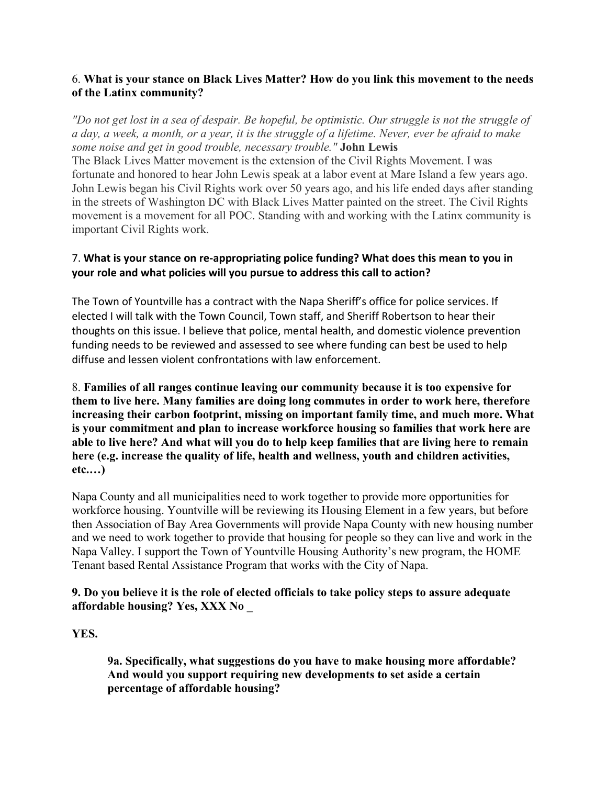## 6. **What is your stance on Black Lives Matter? How do you link this movement to the needs of the Latinx community?**

*"Do not get lost in a sea of despair. Be hopeful, be optimistic. Our struggle is not the struggle of a day, a week, a month, or a year, it is the struggle of a lifetime. Never, ever be afraid to make some noise and get in good trouble, necessary trouble."* **John Lewis**

The Black Lives Matter movement is the extension of the Civil Rights Movement. I was fortunate and honored to hear John Lewis speak at a labor event at Mare Island a few years ago. John Lewis began his Civil Rights work over 50 years ago, and his life ended days after standing in the streets of Washington DC with Black Lives Matter painted on the street. The Civil Rights movement is a movement for all POC. Standing with and working with the Latinx community is important Civil Rights work.

## 7. What is your stance on re-appropriating police funding? What does this mean to you in **your role and what policies will you pursue to address this call to action?**

The Town of Yountville has a contract with the Napa Sheriff's office for police services. If elected I will talk with the Town Council, Town staff, and Sheriff Robertson to hear their thoughts on this issue. I believe that police, mental health, and domestic violence prevention funding needs to be reviewed and assessed to see where funding can best be used to help diffuse and lessen violent confrontations with law enforcement.

8. **Families of all ranges continue leaving our community because it is too expensive for them to live here. Many families are doing long commutes in order to work here, therefore increasing their carbon footprint, missing on important family time, and much more. What is your commitment and plan to increase workforce housing so families that work here are able to live here? And what will you do to help keep families that are living here to remain here (e.g. increase the quality of life, health and wellness, youth and children activities, etc.…)**

Napa County and all municipalities need to work together to provide more opportunities for workforce housing. Yountville will be reviewing its Housing Element in a few years, but before then Association of Bay Area Governments will provide Napa County with new housing number and we need to work together to provide that housing for people so they can live and work in the Napa Valley. I support the Town of Yountville Housing Authority's new program, the HOME Tenant based Rental Assistance Program that works with the City of Napa.

### **9. Do you believe it is the role of elected officials to take policy steps to assure adequate affordable housing? Yes, XXX No \_**

### **YES.**

**9a. Specifically, what suggestions do you have to make housing more affordable? And would you support requiring new developments to set aside a certain percentage of affordable housing?**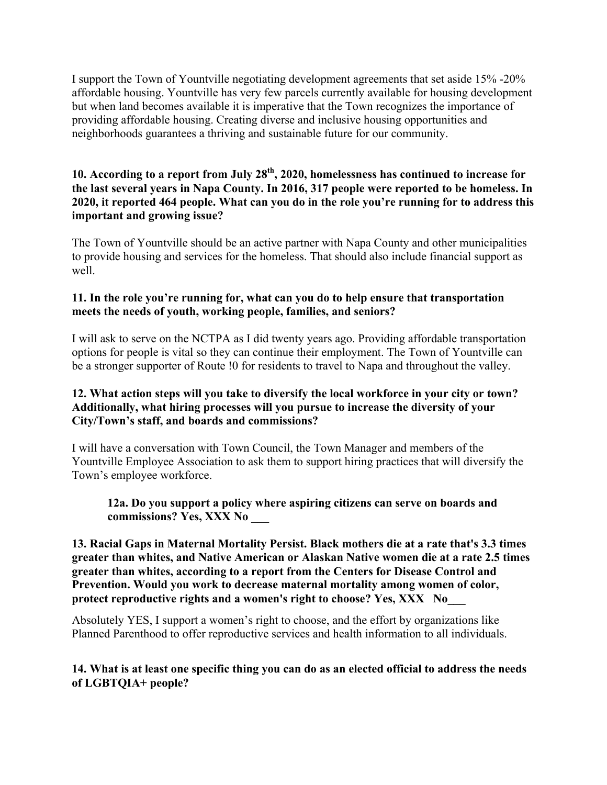I support the Town of Yountville negotiating development agreements that set aside 15% -20% affordable housing. Yountville has very few parcels currently available for housing development but when land becomes available it is imperative that the Town recognizes the importance of providing affordable housing. Creating diverse and inclusive housing opportunities and neighborhoods guarantees a thriving and sustainable future for our community.

## **10. According to a report from July 28th, 2020, homelessness has continued to increase for the last several years in Napa County. In 2016, 317 people were reported to be homeless. In 2020, it reported 464 people. What can you do in the role you're running for to address this important and growing issue?**

The Town of Yountville should be an active partner with Napa County and other municipalities to provide housing and services for the homeless. That should also include financial support as well.

#### **11. In the role you're running for, what can you do to help ensure that transportation meets the needs of youth, working people, families, and seniors?**

I will ask to serve on the NCTPA as I did twenty years ago. Providing affordable transportation options for people is vital so they can continue their employment. The Town of Yountville can be a stronger supporter of Route !0 for residents to travel to Napa and throughout the valley.

### **12. What action steps will you take to diversify the local workforce in your city or town? Additionally, what hiring processes will you pursue to increase the diversity of your City/Town's staff, and boards and commissions?**

I will have a conversation with Town Council, the Town Manager and members of the Yountville Employee Association to ask them to support hiring practices that will diversify the Town's employee workforce.

### **12a. Do you support a policy where aspiring citizens can serve on boards and commissions? Yes, XXX No \_\_\_**

**13. Racial Gaps in Maternal Mortality Persist. Black mothers die at a rate that's 3.3 times greater than whites, and Native American or Alaskan Native women die at a rate 2.5 times greater than whites, according to a report from the Centers for Disease Control and Prevention. Would you work to decrease maternal mortality among women of color, protect reproductive rights and a women's right to choose? Yes, XXX No\_\_\_**

Absolutely YES, I support a women's right to choose, and the effort by organizations like Planned Parenthood to offer reproductive services and health information to all individuals.

### **14. What is at least one specific thing you can do as an elected official to address the needs of LGBTQIA+ people?**